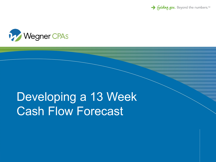→ Guiding you. Beyond the numbers.<sup>™</sup>



# Developing a 13 Week Cash Flow Forecast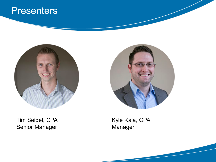#### **Presenters**



Tim Seidel, CPA Senior Manager



Kyle Kaja, CPA Manager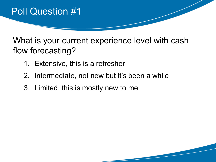

What is your current experience level with cash flow forecasting?

- 1. Extensive, this is a refresher
- 2. Intermediate, not new but it's been a while
- 3. Limited, this is mostly new to me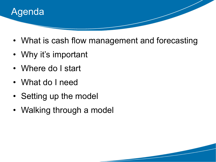

- What is cash flow management and forecasting
- Why it's important
- Where do I start
- What do I need
- Setting up the model
- Walking through a model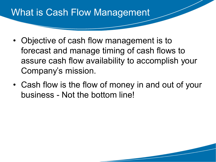### What is Cash Flow Management

- Objective of cash flow management is to forecast and manage timing of cash flows to assure cash flow availability to accomplish your Company's mission.
- Cash flow is the flow of money in and out of your business - Not the bottom line!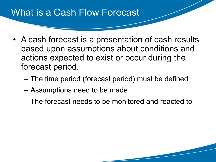### What is a Cash Flow Forecast

- A cash forecast is a presentation of cash results based upon assumptions about conditions and actions expected to exist or occur during the forecast period.
	- The time period (forecast period) must be defined
	- Assumptions need to be made
	- The forecast needs to be monitored and reacted to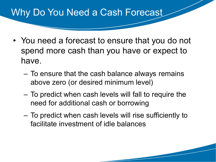### Why Do You Need a Cash Forecast

- You need a forecast to ensure that you do not spend more cash than you have or expect to have.
	- To ensure that the cash balance always remains above zero (or desired minimum level)
	- To predict when cash levels will fall to require the need for additional cash or borrowing
	- To predict when cash levels will rise sufficiently to facilitate investment of idle balances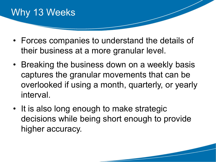## Why 13 Weeks

- Forces companies to understand the details of their business at a more granular level.
- Breaking the business down on a weekly basis captures the granular movements that can be overlooked if using a month, quarterly, or yearly interval.
- It is also long enough to make strategic decisions while being short enough to provide higher accuracy.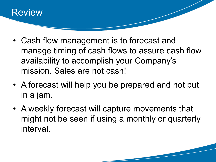

- Cash flow management is to forecast and manage timing of cash flows to assure cash flow availability to accomplish your Company's mission. Sales are not cash!
- A forecast will help you be prepared and not put in a jam.
- A weekly forecast will capture movements that might not be seen if using a monthly or quarterly interval.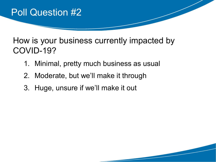

How is your business currently impacted by COVID-19?

- 1. Minimal, pretty much business as usual
- 2. Moderate, but we'll make it through
- 3. Huge, unsure if we'll make it out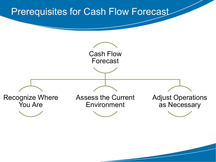#### Prerequisites for Cash Flow Forecast

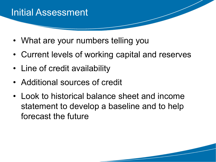### Initial Assessment

- What are your numbers telling you
- Current levels of working capital and reserves
- Line of credit availability
- Additional sources of credit
- Look to historical balance sheet and income statement to develop a baseline and to help forecast the future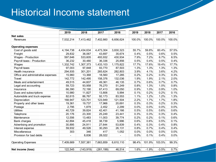### Historical Income statement

|                                    | 2019           | 2018       | 2017       | 2016      | 2019   | 2018    | 2017    | 2016   |
|------------------------------------|----------------|------------|------------|-----------|--------|---------|---------|--------|
| <b>Net sales</b>                   |                |            |            |           |        |         |         |        |
| <b>Revenues</b>                    | 7,532,214      | 7,413,462  | 7,402,660  | 6,656,624 | 100.0% | 100.0%  | 100.0%  | 100.0% |
| <b>Operating expenses</b>          |                |            |            |           |        |         |         |        |
| Cost of goods sold                 | 4,194,738      | 4,434,634  | 4,473,304  | 3,830,323 | 55.7%  | 59.8%   | 60.4%   | 57.5%  |
| Freight                            | 29,832         | 36,067     | 43,697     | 35,674    | 0.4%   | 0.5%    | 0.6%    | 0.5%   |
| Wages - Production                 | 597,646        | 533,605    | 493,932    | 430,934   | 7.9%   | 7.2%    | 6.7%    | 6.5%   |
| Payroll taxes - Production         | 36,232         | 30,480     | 36,336     | 25,856    | 0.5%   | 0.4%    | 0.5%    | 0.4%   |
| Wages                              | 1,332,742      | 1,307,373  | 1,433,103  | 1,175,822 | 17.7%  | 17.6%   | 19.4%   | 17.7%  |
| Payroll taxes                      | 97,003         | 97,848     | 93,770     | 87,503    | 1.3%   | 1.3%    | 1.3%    | 1.3%   |
| Health insurance                   | 294,935        | 301,201    | 265,624    | 282,803   | 3.9%   | 4.1%    | 3.6%    | 4.2%   |
| Office and administrative expenses | 15,960         | 13,368     | 18,560     | 17,285    | 0.2%   | 0.2%    | 0.3%    | 0.3%   |
| Travel                             | 142,772        | 142,495    | 158,376    | 132,036   | 1.9%   | 1.9%    | 2.1%    | 2.0%   |
| Meals and entertainment            | 49,515         | 44,607     | 49,361     | 46,135    | 0.7%   | 0.6%    | 0.7%    | 0.7%   |
| Legal and accounting               | 59,723         | 93,958     | 76,270     | 51,249    | 0.8%   | 1.3%    | 1.0%    | 0.8%   |
| Insurance                          | 66,390         | 72,190     | 67,413     | 69,050    | 0.9%   | 1.0%    | 0.9%    | 1.0%   |
| Dues and subscriptions             | 10,980         | 11,827     | 13,806     | 5,994     | 0.1%   | 0.2%    | 0.2%    | 0.1%   |
| Automobile and truck expense       | 82,615         | 86,767     | 92,173     | 83,553    | 1.1%   | 1.2%    | 1.2%    | 1.3%   |
| Depreciation                       | 168,947        | 123,701    | 123,949    | 121,504   | 2.2%   | 1.7%    | 1.7%    | 1.8%   |
| Property and other taxes           | 19,361         | 19,737     | 17,966     | 20,691    | 0.3%   | 0.3%    | 0.2%    | 0.3%   |
| Postage                            | 2,795          | 1,879      | 2,452      | 2,299     | 0.0%   | 0.0%    | 0.0%    | 0.0%   |
| <b>Utilities</b>                   | 40,729         | 39,824     | 42,401     | 41,166    | 0.5%   | 0.5%    | 0.6%    | 0.6%   |
| Telephone                          | 20,176         | 23,300     | 25,249     | 23,441    | 0.3%   | 0.3%    | 0.3%    | 0.4%   |
| Maintenance                        | 12,556         | 13,483     | 11,003     | 39,774    | 0.2%   | 0.2%    | 0.1%    | 0.6%   |
| <b>Bank charges</b>                | 42,894         | 45,418     | 38,739     | 5,996     | 0.6%   | 0.6%    | 0.5%    | 0.1%   |
| Advertising and promotion          | 30,895         | 24,911     | 27,644     | 53,839    | 0.4%   | 0.3%    | 0.4%    | 0.8%   |
| Interest expense                   | 59,932         | 49,526     | 30,293     | 26,131    | 0.8%   | 0.7%    | 0.4%    | 0.4%   |
| Miscellaneous                      | 303            | 346        | 417        | 1,052     | 0.0%   | 0.0%    | 0.0%    | 0.0%   |
| Provision for bad debts            | $\blacksquare$ | 8,836      | 28,022     |           | 0.0%   | 0.1%    | 0.4%    | 0.0%   |
| <b>Operating Expenses</b>          | 7,409,669      | 7,557,381  | 7,663,859  | 6,610,110 | 98.4%  | 101.9%  | 103.5%  | 99.3%  |
| Net income (loss)                  | 122,545        | (143, 919) | (261, 199) | 46,514    | 1.6%   | $-1.9%$ | $-3.5%$ | 0.7%   |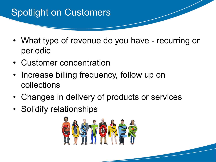# Spotlight on Customers

- What type of revenue do you have recurring or periodic
- Customer concentration
- Increase billing frequency, follow up on collections
- Changes in delivery of products or services
- Solidify relationships

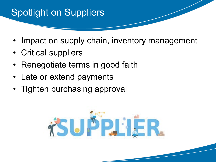## Spotlight on Suppliers

- Impact on supply chain, inventory management
- Critical suppliers
- Renegotiate terms in good faith
- Late or extend payments
- Tighten purchasing approval

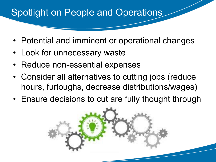## Spotlight on People and Operations

- Potential and imminent or operational changes
- Look for unnecessary waste
- Reduce non-essential expenses
- Consider all alternatives to cutting jobs (reduce hours, furloughs, decrease distributions/wages)
- Ensure decisions to cut are fully thought through

![](_page_15_Picture_6.jpeg)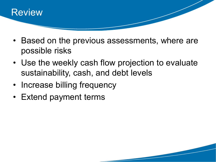![](_page_16_Picture_0.jpeg)

- Based on the previous assessments, where are possible risks
- Use the weekly cash flow projection to evaluate sustainability, cash, and debt levels
- Increase billing frequency
- Extend payment terms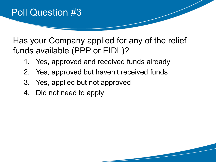Has your Company applied for any of the relief funds available (PPP or EIDL)?

- 1. Yes, approved and received funds already
- 2. Yes, approved but haven't received funds
- 3. Yes, applied but not approved
- 4. Did not need to apply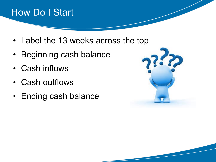## How Do I Start

- Label the 13 weeks across the top
- Beginning cash balance
- Cash inflows
- Cash outflows
- Ending cash balance

![](_page_18_Picture_6.jpeg)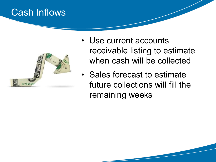### Cash Inflows

![](_page_19_Picture_1.jpeg)

- Use current accounts receivable listing to estimate when cash will be collected
- Sales forecast to estimate future collections will fill the remaining weeks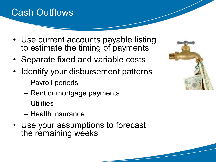## Cash Outflows

- Use current accounts payable listing to estimate the timing of payments
- Separate fixed and variable costs
- Identify your disbursement patterns
	- Payroll periods
	- Rent or mortgage payments
	- Utilities
	- Health insurance
- Use your assumptions to forecast the remaining weeks

![](_page_20_Picture_9.jpeg)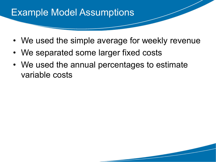### Example Model Assumptions

- We used the simple average for weekly revenue
- We separated some larger fixed costs
- We used the annual percentages to estimate variable costs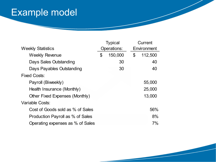# Example model

|                                  |    | <b>Typical</b> |    | Current     |  |  |
|----------------------------------|----|----------------|----|-------------|--|--|
| <b>Weekly Statistics</b>         |    | Operations:    |    | Environment |  |  |
| <b>Weekly Revenue</b>            | \$ | 150,000        | \$ | 112,500     |  |  |
| Days Sales Outstanding           |    | 30             |    | 40          |  |  |
| Days Payables Outstanding        |    | 30             |    | 40          |  |  |
| <b>Fixed Costs:</b>              |    |                |    |             |  |  |
| Payroll (Biweekly)               |    |                |    | 55,000      |  |  |
| Health Insurance (Monthly)       |    |                |    | 25,000      |  |  |
| Other Fixed Expenses (Monthly)   |    |                |    | 13,000      |  |  |
| Variable Costs:                  |    |                |    |             |  |  |
| Cost of Goods sold as % of Sales |    |                |    | 56%         |  |  |
| Production Payroll as % of Sales |    |                |    | 8%          |  |  |
| Operating expenses as % of Sales |    |                |    | 7%          |  |  |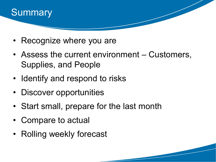![](_page_23_Picture_0.jpeg)

- Recognize where you are
- Assess the current environment Customers, Supplies, and People
- Identify and respond to risks
- Discover opportunities
- Start small, prepare for the last month
- Compare to actual
- Rolling weekly forecast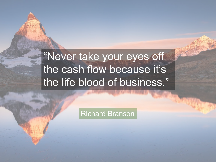# "Never take your eyes off the cash flow because it's the life blood of business."

Richard Branson